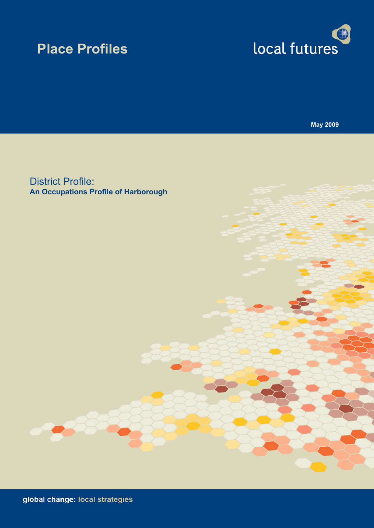# **Place Profiles**



**May 2009**

District Profile: **An Occupations Profile of Harborough**

global change: local strategies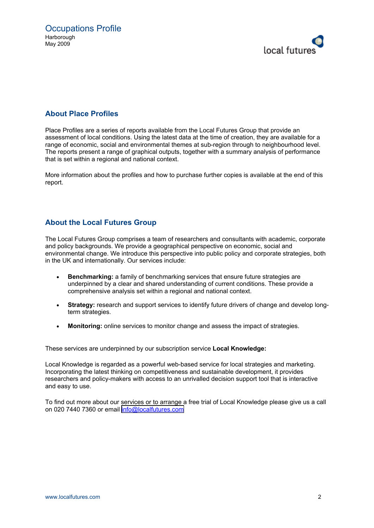

#### **About Place Profiles**

Place Profiles are a series of reports available from the Local Futures Group that provide an assessment of local conditions. Using the latest data at the time of creation, they are available for a range of economic, social and environmental themes at sub-region through to neighbourhood level. The reports present a range of graphical outputs, together with a summary analysis of performance that is set within a regional and national context.

More information about the profiles and how to purchase further copies is available at the end of this report.

#### **About the Local Futures Group**

The Local Futures Group comprises a team of researchers and consultants with academic, corporate and policy backgrounds. We provide a geographical perspective on economic, social and environmental change. We introduce this perspective into public policy and corporate strategies, both in the UK and internationally. Our services include:

- · **Benchmarking:** a family of benchmarking services that ensure future strategies are underpinned by a clear and shared understanding of current conditions. These provide a comprehensive analysis set within a regional and national context.
- **Strategy:** research and support services to identify future drivers of change and develop longterm strategies.
- Monitoring: online services to monitor change and assess the impact of strategies.

These services are underpinned by our subscription service **Local Knowledge:**

Local Knowledge is regarded as a powerful web-based service for local strategies and marketing. Incorporating the latest thinking on competitiveness and sustainable development, it provides researchers and policy-makers with access to an unrivalled decision support tool that is interactive and easy to use.

To find out more about our services or to arrange a free trial of Local Knowledge please give us a call on 020 7440 7360 or email [info@localfutures.com](mailto:info@localfutures.com)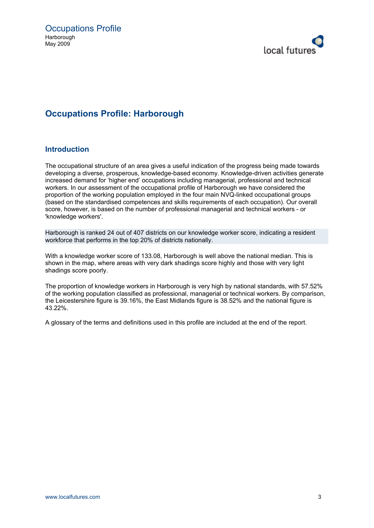

## **Occupations Profile: Harborough**

#### **Introduction**

The occupational structure of an area gives a useful indication of the progress being made towards developing a diverse, prosperous, knowledge-based economy. Knowledge-driven activities generate increased demand for 'higher end' occupations including managerial, professional and technical workers. In our assessment of the occupational profile of Harborough we have considered the proportion of the working population employed in the four main NVQ-linked occupational groups (based on the standardised competences and skills requirements of each occupation). Our overall score, however, is based on the number of professional managerial and technical workers - or 'knowledge workers'.

Harborough is ranked 24 out of 407 districts on our knowledge worker score, indicating a resident workforce that performs in the top 20% of districts nationally.

With a knowledge worker score of 133.08, Harborough is well above the national median. This is shown in the map, where areas with very dark shadings score highly and those with very light shadings score poorly.

The proportion of knowledge workers in Harborough is very high by national standards, with 57.52% of the working population classified as professional, managerial or technical workers. By comparison, the Leicestershire figure is 39.16%, the East Midlands figure is 38.52% and the national figure is 43.22%.

A glossary of the terms and definitions used in this profile are included at the end of the report.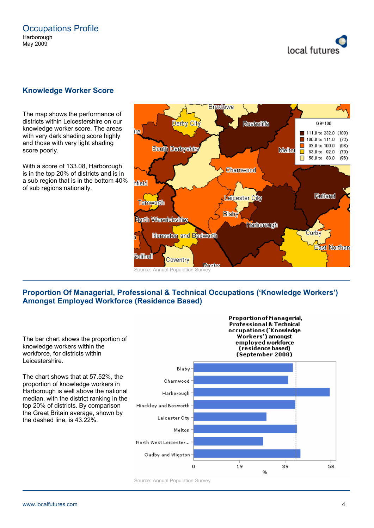

#### **Knowledge Worker Score**

The map shows the performance of districts within Leicestershire on our knowledge worker score. The areas with very dark shading score highly and those with very light shading score poorly.

With a score of 133.08, Harborough is in the top 20% of districts and is in a sub region that is in the bottom 40% of sub regions nationally.



#### **Proportion Of Managerial, Professional & Technical Occupations ('Knowledge Workers') Amongst Employed Workforce (Residence Based)**

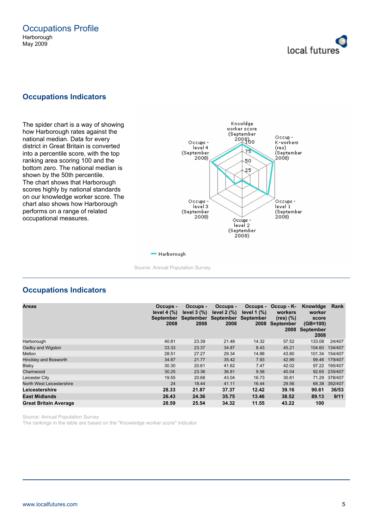

#### **Occupations Indicators**

The spider chart is a way of showing how Harborough rates against the national median. Data for every district in Great Britain is converted into a percentile score, with the top ranking area scoring 100 and the bottom zero. The national median is shown by the 50th percentile. The chart shows that Harborough scores highly by national standards on our knowledge worker score. The chart also shows how Harborough performs on a range of related occupational measures.



#### - Harborough

Source: Annual Population Survey

#### **Occupations Indicators**

| <b>Areas</b>                 | Occups -<br>level $4 \frac{9}{6}$<br><b>September</b><br>2008 | Occups -<br>level $3$ $\frac{9}{6}$<br>2008 | Occups -<br>level $2(%)$<br>September September<br>2008 | Occups -<br>level $1$ $\frac{9}{6}$<br><b>September</b><br>2008 | $Occup - K-$<br>workers<br>$(res)$ $(\%)$<br>September<br>2008 | Knowldge<br>worker<br>score<br>$(GB=100)$<br>September<br>2008 | Rank    |
|------------------------------|---------------------------------------------------------------|---------------------------------------------|---------------------------------------------------------|-----------------------------------------------------------------|----------------------------------------------------------------|----------------------------------------------------------------|---------|
| Harborough                   | 40.81                                                         | 23.39                                       | 21.48                                                   | 14.32                                                           | 57.52                                                          | 133.08                                                         | 24/407  |
| Oadby and Wigston            | 33.33                                                         | 23.37                                       | 34.87                                                   | 8.43                                                            | 45.21                                                          | 104.60                                                         | 134/407 |
| Melton                       | 28.51                                                         | 27.27                                       | 29.34                                                   | 14.88                                                           | 43.80                                                          | 101.34                                                         | 154/407 |
| Hinckley and Bosworth        | 34.87                                                         | 21.77                                       | 35.42                                                   | 7.93                                                            | 42.99                                                          | 99.46                                                          | 179/407 |
| Blaby                        | 30.30                                                         | 20.61                                       | 41.62                                                   | 7.47                                                            | 42.02                                                          | 97.22                                                          | 195/407 |
| Charnwood                    | 30.25                                                         | 23.36                                       | 36.81                                                   | 9.58                                                            | 40.04                                                          | 92.65                                                          | 235/407 |
| Leicester City               | 19.55                                                         | 20.68                                       | 43.04                                                   | 16.73                                                           | 30.81                                                          | 71.29                                                          | 378/407 |
| North West Leicestershire    | 24                                                            | 18.44                                       | 41.11                                                   | 16.44                                                           | 29.56                                                          | 68.38                                                          | 392/407 |
| Leicestershire               | 28.33                                                         | 21.87                                       | 37.37                                                   | 12.42                                                           | 39.16                                                          | 90.61                                                          | 36/53   |
| <b>East Midlands</b>         | 26.43                                                         | 24.36                                       | 35.75                                                   | 13.46                                                           | 38.52                                                          | 89.13                                                          | 9/11    |
| <b>Great Britain Average</b> | 28.59                                                         | 25.54                                       | 34.32                                                   | 11.55                                                           | 43.22                                                          | 100                                                            |         |

Source: Annual Population Survey

The rankings in the table are based on the "Knowledge worker score" indicator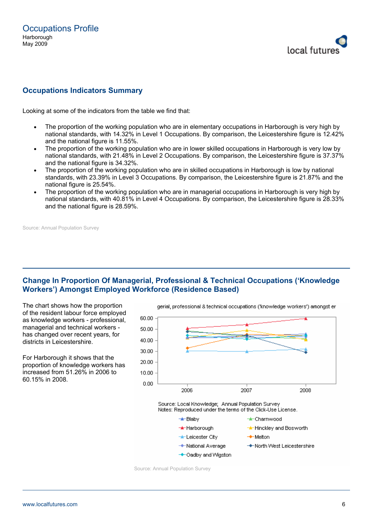

#### **Occupations Indicators Summary**

Looking at some of the indicators from the table we find that:

- The proportion of the working population who are in elementary occupations in Harborough is very high by national standards, with 14.32% in Level 1 Occupations. By comparison, the Leicestershire figure is 12.42% and the national figure is 11.55%.
- The proportion of the working population who are in lower skilled occupations in Harborough is very low by national standards, with 21.48% in Level 2 Occupations. By comparison, the Leicestershire figure is 37.37% and the national figure is 34.32%.
- The proportion of the working population who are in skilled occupations in Harborough is low by national standards, with 23.39% in Level 3 Occupations. By comparison, the Leicestershire figure is 21.87% and the national figure is 25.54%.
- The proportion of the working population who are in managerial occupations in Harborough is very high by national standards, with 40.81% in Level 4 Occupations. By comparison, the Leicestershire figure is 28.33% and the national figure is 28.59%.

Source: Annual Population Survey

#### **Change In Proportion Of Managerial, Professional & Technical Occupations ('Knowledge Workers') Amongst Employed Workforce (Residence Based)**

The chart shows how the proportion of the resident labour force employed as knowledge workers - professional, managerial and technical workers has changed over recent years, for districts in Leicestershire.

For Harborough it shows that the proportion of knowledge workers has increased from 51.26% in 2006 to 60.15% in 2008.



→ North West Leicestershire

Source: Annual Population Survey

→ National Average

→ Oadby and Wigston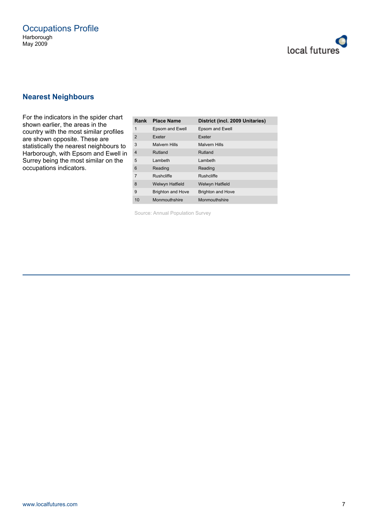

#### **Nearest Neighbours**

For the indicators in the spider chart shown earlier, the areas in the country with the most similar profiles are shown opposite. These are statistically the nearest neighbours to Harborough, with Epsom and Ewell in Surrey being the most similar on the occupations indicators.

| Rank           | <b>Place Name</b>        | District (incl. 2009 Unitaries) |
|----------------|--------------------------|---------------------------------|
| 1              | Epsom and Ewell          | Epsom and Ewell                 |
| 2              | Exeter                   | Exeter                          |
| 3              | <b>Malvern Hills</b>     | <b>Malvern Hills</b>            |
| $\overline{4}$ | Rutland                  | Rutland                         |
| 5              | Lambeth                  | I amheth                        |
| 6              | Reading                  | Reading                         |
| 7              | <b>Rushcliffe</b>        | <b>Rushcliffe</b>               |
| 8              | <b>Welwyn Hatfield</b>   | <b>Welwyn Hatfield</b>          |
| 9              | <b>Brighton and Hove</b> | <b>Brighton and Hove</b>        |
| 10             | Monmouthshire            | Monmouthshire                   |

Source: Annual Population Survey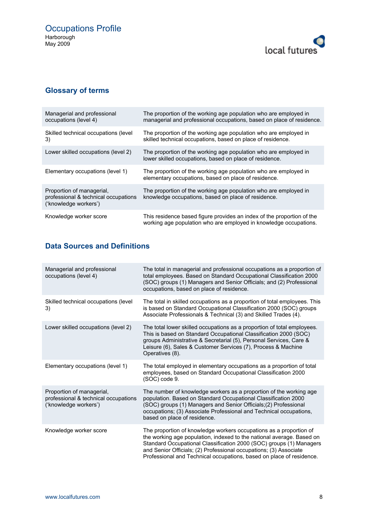

# **Glossary of terms**

| Managerial and professional<br>occupations (level 4)                                       | The proportion of the working age population who are employed in<br>managerial and professional occupations, based on place of residence.   |
|--------------------------------------------------------------------------------------------|---------------------------------------------------------------------------------------------------------------------------------------------|
| Skilled technical occupations (level)<br>3)                                                | The proportion of the working age population who are employed in<br>skilled technical occupations, based on place of residence.             |
| Lower skilled occupations (level 2)                                                        | The proportion of the working age population who are employed in<br>lower skilled occupations, based on place of residence.                 |
| Elementary occupations (level 1)                                                           | The proportion of the working age population who are employed in<br>elementary occupations, based on place of residence.                    |
| Proportion of managerial,<br>professional & technical occupations<br>('knowledge workers') | The proportion of the working age population who are employed in<br>knowledge occupations, based on place of residence.                     |
| Knowledge worker score                                                                     | This residence based figure provides an index of the proportion of the<br>working age population who are employed in knowledge occupations. |

# **Data Sources and Definitions**

| Managerial and professional<br>occupations (level 4)                                       | The total in managerial and professional occupations as a proportion of<br>total employees. Based on Standard Occupational Classification 2000<br>(SOC) groups (1) Managers and Senior Officials; and (2) Professional<br>occupations, based on place of residence.                                                                                             |
|--------------------------------------------------------------------------------------------|-----------------------------------------------------------------------------------------------------------------------------------------------------------------------------------------------------------------------------------------------------------------------------------------------------------------------------------------------------------------|
| Skilled technical occupations (level)<br>3)                                                | The total in skilled occupations as a proportion of total employees. This<br>is based on Standard Occupational Classification 2000 (SOC) groups<br>Associate Professionals & Technical (3) and Skilled Trades (4).                                                                                                                                              |
| Lower skilled occupations (level 2)                                                        | The total lower skilled occupations as a proportion of total employees.<br>This is based on Standard Occupational Classification 2000 (SOC)<br>groups Administrative & Secretarial (5), Personal Services, Care &<br>Leisure (6), Sales & Customer Services (7), Process & Machine<br>Operatives (8).                                                           |
| Elementary occupations (level 1)                                                           | The total employed in elementary occupations as a proportion of total<br>employees, based on Standard Occupational Classification 2000<br>(SOC) code 9.                                                                                                                                                                                                         |
| Proportion of managerial,<br>professional & technical occupations<br>('knowledge workers') | The number of knowledge workers as a proportion of the working age<br>population. Based on Standard Occupational Classification 2000<br>(SOC) groups (1) Managers and Senior Officials; (2) Professional<br>occupations; (3) Associate Professional and Technical occupations,<br>based on place of residence.                                                  |
| Knowledge worker score                                                                     | The proportion of knowledge workers occupations as a proportion of<br>the working age population, indexed to the national average. Based on<br>Standard Occupational Classification 2000 (SOC) groups (1) Managers<br>and Senior Officials; (2) Professional occupations; (3) Associate<br>Professional and Technical occupations, based on place of residence. |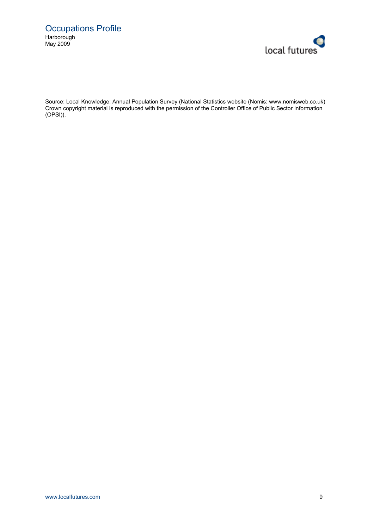

Source: Local Knowledge; Annual Population Survey (National Statistics website (Nomis: www.nomisweb.co.uk) Crown copyright material is reproduced with the permission of the Controller Office of Public Sector Information (OPSI)).